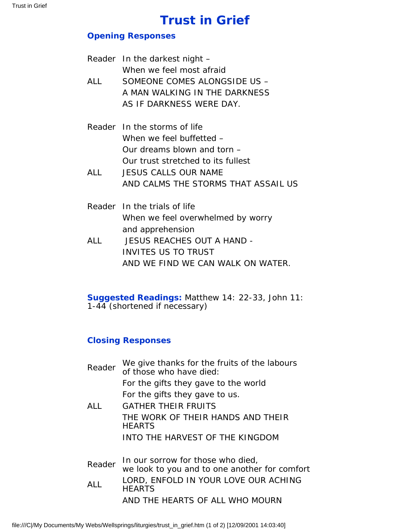## **Trust in Grief**

## **Opening Responses**

|            | Reader In the darkest night $-$     |
|------------|-------------------------------------|
|            | When we feel most afraid            |
| ALL        | SOMEONE COMES ALONGSIDE US -        |
|            | A MAN WALKING IN THE DARKNESS       |
|            | AS IF DARKNESS WERE DAY.            |
|            | Reader In the storms of life        |
|            | When we feel buffetted –            |
|            | Our dreams blown and torn –         |
|            | Our trust stretched to its fullest  |
| <b>ALL</b> | <b>JESUS CALLS OUR NAME</b>         |
|            | AND CALMS THE STORMS THAT ASSAIL US |
|            | Reader In the trials of life        |
|            | When we feel overwhelmed by worry   |
|            | and apprehension                    |
| ALL        | <b>JESUS REACHES OUT A HAND -</b>   |
|            | <b>INVITES US TO TRUST</b>          |
|            | AND WE FIND WE CAN WALK ON WATER.   |

**Suggested Readings:** Matthew 14: 22-33, John 11: 1-44 (shortened if necessary)

## **Closing Responses**

| Reader | We give thanks for the fruits of the labours<br>of those who have died:            |
|--------|------------------------------------------------------------------------------------|
|        | For the gifts they gave to the world                                               |
|        | For the gifts they gave to us.                                                     |
| ALL.   | <b>GATHER THEIR FRUITS</b>                                                         |
|        | THE WORK OF THEIR HANDS AND THEIR<br><b>HEARTS</b>                                 |
|        | INTO THE HARVEST OF THE KINGDOM                                                    |
| Reader | In our sorrow for those who died,<br>we look to you and to one another for comfort |
| ALL    | LORD, ENFOLD IN YOUR LOVE OUR ACHING<br><b>HEARTS</b>                              |
|        | AND THE HEARTS OF ALL WHO MOURN                                                    |